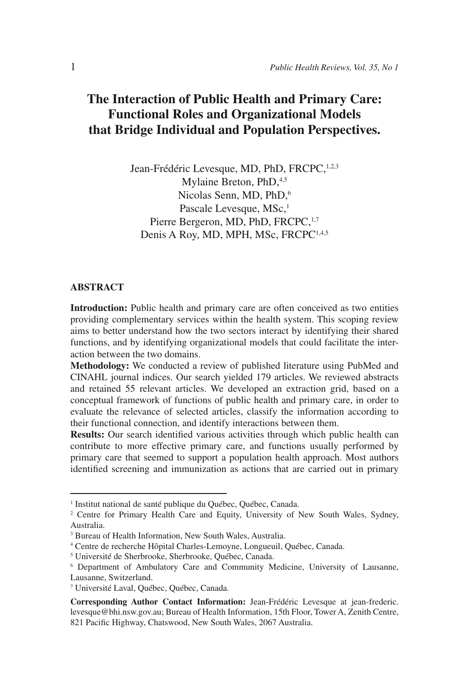# **The Interaction of Public Health and Primary Care: Functional Roles and Organizational Models that Bridge Individual and Population Perspectives.**

Jean-Frédéric Levesque, MD, PhD, FRCPC, 1,2,3 Mylaine Breton, PhD, 4,5 Nicolas Senn, MD, PhD.<sup>6</sup> Pascale Levesque, MSc,<sup>1</sup> Pierre Bergeron, MD, PhD, FRCPC, 1,7 Denis A Roy, MD, MPH, MSc, FRCPC<sup>1,4,5</sup>

#### **ABSTRACT**

**Introduction:** Public health and primary care are often conceived as two entities providing complementary services within the health system. This scoping review aims to better understand how the two sectors interact by identifying their shared functions, and by identifying organizational models that could facilitate the interaction between the two domains.

**Methodology:** We conducted a review of published literature using PubMed and CINAHL journal indices. Our search yielded 179 articles. We reviewed abstracts and retained 55 relevant articles. We developed an extraction grid, based on a conceptual framework of functions of public health and primary care, in order to evaluate the relevance of selected articles, classify the information according to their functional connection, and identify interactions between them.

**Results:** Our search identified various activities through which public health can contribute to more effective primary care, and functions usually performed by primary care that seemed to support a population health approach. Most authors identified screening and immunization as actions that are carried out in primary

<sup>&</sup>lt;sup>1</sup> Institut national de santé publique du Québec, Québec, Canada.

<sup>2</sup> Centre for Primary Health Care and Equity, University of New South Wales, Sydney, Australia.

<sup>3</sup> Bureau of Health Information, New South Wales, Australia.

<sup>4</sup> Centre de recherche Hôpital Charles-Lemoyne, Longueuil, Québec, Canada.

<sup>5</sup> Université de Sherbrooke, Sherbrooke, Québec, Canada.

<sup>6</sup> Department of Ambulatory Care and Community Medicine, University of Lausanne, Lausanne, Switzerland.

<sup>7</sup> Université Laval, Québec, Québec, Canada.

**Corresponding Author Contact Information:** Jean-Frédéric Levesque at jean-frederic. levesque@bhi.nsw.gov.au; Bureau of Health Information, 15th Floor, Tower A, Zenith Centre, 821 Pacific Highway, Chatswood, New South Wales, 2067 Australia.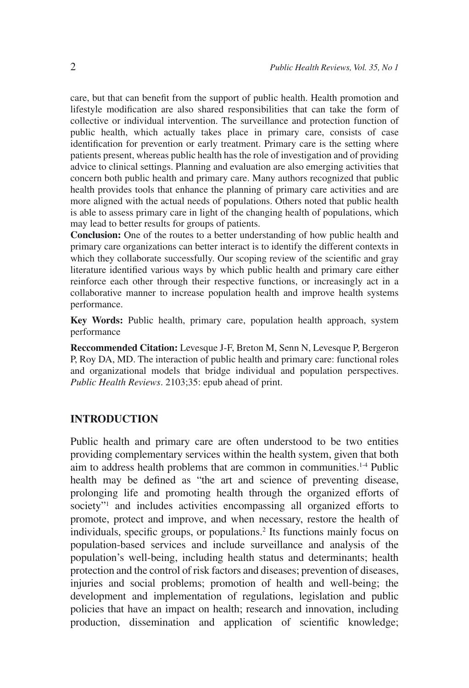care, but that can benefit from the support of public health. Health promotion and lifestyle modification are also shared responsibilities that can take the form of collective or individual intervention. The surveillance and protection function of public health, which actually takes place in primary care, consists of case identification for prevention or early treatment. Primary care is the setting where patients present, whereas public health has the role of investigation and of providing advice to clinical settings. Planning and evaluation are also emerging activities that concern both public health and primary care. Many authors recognized that public health provides tools that enhance the planning of primary care activities and are more aligned with the actual needs of populations. Others noted that public health is able to assess primary care in light of the changing health of populations, which may lead to better results for groups of patients.

**Conclusion:** One of the routes to a better understanding of how public health and primary care organizations can better interact is to identify the different contexts in which they collaborate successfully. Our scoping review of the scientific and gray literature identified various ways by which public health and primary care either reinforce each other through their respective functions, or increasingly act in a collaborative manner to increase population health and improve health systems performance.

**Key Words:** Public health, primary care, population health approach, system performance

**Reccommended Citation:** Levesque J-F, Breton M, Senn N, Levesque P, Bergeron P, Roy DA, MD. The interaction of public health and primary care: functional roles and organizational models that bridge individual and population perspectives. *Public Health Reviews*. 2103;35: epub ahead of print.

## **INTRODUCTION**

Public health and primary care are often understood to be two entities providing complementary services within the health system, given that both aim to address health problems that are common in communities.1-4 Public health may be defined as "the art and science of preventing disease, prolonging life and promoting health through the organized efforts of society"<sup>1</sup> and includes activities encompassing all organized efforts to promote, protect and improve, and when necessary, restore the health of individuals, specific groups, or populations.<sup>2</sup> Its functions mainly focus on population-based services and include surveillance and analysis of the population's well-being, including health status and determinants; health protection and the control of risk factors and diseases; prevention of diseases, injuries and social problems; promotion of health and well-being; the development and implementation of regulations, legislation and public policies that have an impact on health; research and innovation, including production, dissemination and application of scientific knowledge;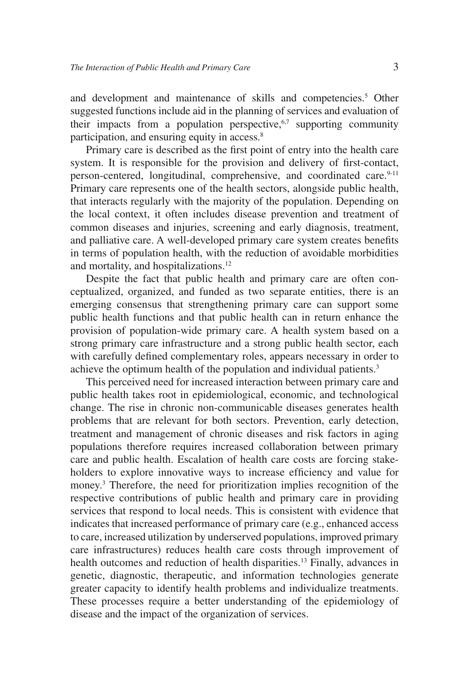and development and maintenance of skills and competencies.<sup>5</sup> Other suggested functions include aid in the planning of services and evaluation of their impacts from a population perspective, $6,7$  supporting community participation, and ensuring equity in access.<sup>8</sup>

Primary care is described as the first point of entry into the health care system. It is responsible for the provision and delivery of first-contact, person-centered, longitudinal, comprehensive, and coordinated care.<sup>9-11</sup> Primary care represents one of the health sectors, alongside public health, that interacts regularly with the majority of the population. Depending on the local context, it often includes disease prevention and treatment of common diseases and injuries, screening and early diagnosis, treatment, and palliative care. A well-developed primary care system creates benefits in terms of population health, with the reduction of avoidable morbidities and mortality, and hospitalizations.12

Despite the fact that public health and primary care are often conceptualized, organized, and funded as two separate entities, there is an emerging consensus that strengthening primary care can support some public health functions and that public health can in return enhance the provision of population-wide primary care. A health system based on a strong primary care infrastructure and a strong public health sector, each with carefully defined complementary roles, appears necessary in order to achieve the optimum health of the population and individual patients.<sup>3</sup>

This perceived need for increased interaction between primary care and public health takes root in epidemiological, economic, and technological change. The rise in chronic non-communicable diseases generates health problems that are relevant for both sectors. Prevention, early detection, treatment and management of chronic diseases and risk factors in aging populations therefore requires increased collaboration between primary care and public health. Escalation of health care costs are forcing stakeholders to explore innovative ways to increase efficiency and value for money.3 Therefore, the need for prioritization implies recognition of the respective contributions of public health and primary care in providing services that respond to local needs. This is consistent with evidence that indicates that increased performance of primary care (e.g., enhanced access to care, increased utilization by underserved populations, improved primary care infrastructures) reduces health care costs through improvement of health outcomes and reduction of health disparities.<sup>13</sup> Finally, advances in genetic, diagnostic, therapeutic, and information technologies generate greater capacity to identify health problems and individualize treatments. These processes require a better understanding of the epidemiology of disease and the impact of the organization of services.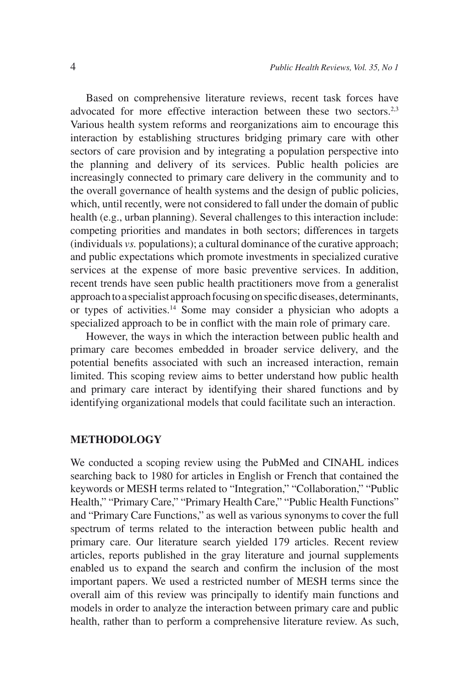Based on comprehensive literature reviews, recent task forces have advocated for more effective interaction between these two sectors.<sup>2,3</sup> Various health system reforms and reorganizations aim to encourage this interaction by establishing structures bridging primary care with other sectors of care provision and by integrating a population perspective into the planning and delivery of its services. Public health policies are increasingly connected to primary care delivery in the community and to the overall governance of health systems and the design of public policies, which, until recently, were not considered to fall under the domain of public health (e.g., urban planning). Several challenges to this interaction include: competing priorities and mandates in both sectors; differences in targets (individuals *vs.* populations); a cultural dominance of the curative approach; and public expectations which promote investments in specialized curative services at the expense of more basic preventive services. In addition, recent trends have seen public health practitioners move from a generalist approach to a specialist approach focusing on specific diseases, determinants, or types of activities.14 Some may consider a physician who adopts a specialized approach to be in conflict with the main role of primary care.

However, the ways in which the interaction between public health and primary care becomes embedded in broader service delivery, and the potential benefits associated with such an increased interaction, remain limited. This scoping review aims to better understand how public health and primary care interact by identifying their shared functions and by identifying organizational models that could facilitate such an interaction.

### **METHODOLOGY**

We conducted a scoping review using the PubMed and CINAHL indices searching back to 1980 for articles in English or French that contained the keywords or MESH terms related to "Integration," "Collaboration," "Public Health," "Primary Care," "Primary Health Care," "Public Health Functions" and "Primary Care Functions," as well as various synonyms to cover the full spectrum of terms related to the interaction between public health and primary care. Our literature search yielded 179 articles. Recent review articles, reports published in the gray literature and journal supplements enabled us to expand the search and confirm the inclusion of the most important papers. We used a restricted number of MESH terms since the overall aim of this review was principally to identify main functions and models in order to analyze the interaction between primary care and public health, rather than to perform a comprehensive literature review. As such,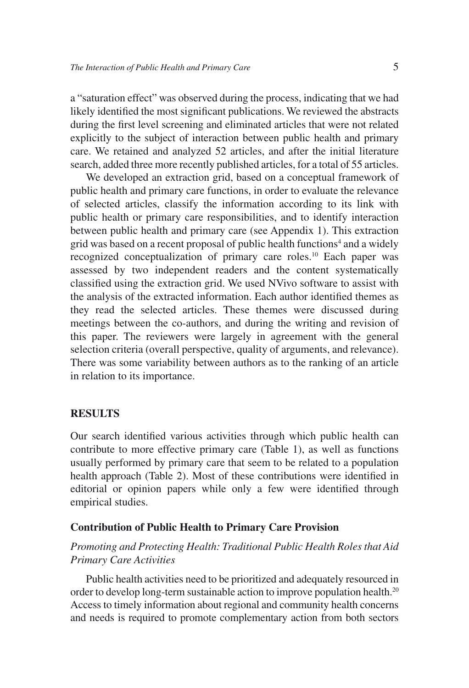a "saturation effect" was observed during the process, indicating that we had likely identified the most significant publications. We reviewed the abstracts during the first level screening and eliminated articles that were not related explicitly to the subject of interaction between public health and primary care. We retained and analyzed 52 articles, and after the initial literature search, added three more recently published articles, for a total of 55 articles.

We developed an extraction grid, based on a conceptual framework of public health and primary care functions, in order to evaluate the relevance of selected articles, classify the information according to its link with public health or primary care responsibilities, and to identify interaction between public health and primary care (see Appendix 1). This extraction grid was based on a recent proposal of public health functions<sup>4</sup> and a widely recognized conceptualization of primary care roles.10 Each paper was assessed by two independent readers and the content systematically classified using the extraction grid. We used NVivo software to assist with the analysis of the extracted information. Each author identified themes as they read the selected articles. These themes were discussed during meetings between the co-authors, and during the writing and revision of this paper. The reviewers were largely in agreement with the general selection criteria (overall perspective, quality of arguments, and relevance). There was some variability between authors as to the ranking of an article in relation to its importance.

#### **RESULTS**

Our search identified various activities through which public health can contribute to more effective primary care (Table 1), as well as functions usually performed by primary care that seem to be related to a population health approach (Table 2). Most of these contributions were identified in editorial or opinion papers while only a few were identified through empirical studies.

#### **Contribution of Public Health to Primary Care Provision**

## *Promoting and Protecting Health: Traditional Public Health Roles that Aid Primary Care Activities*

Public health activities need to be prioritized and adequately resourced in order to develop long-term sustainable action to improve population health.<sup>20</sup> Access to timely information about regional and community health concerns and needs is required to promote complementary action from both sectors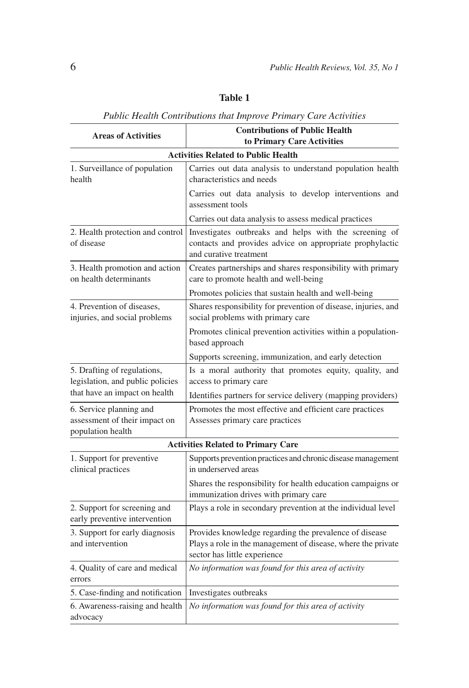|                                                                               | Public Health Contributions that Improve Primary Care Activities                                                                                       |
|-------------------------------------------------------------------------------|--------------------------------------------------------------------------------------------------------------------------------------------------------|
| <b>Areas of Activities</b>                                                    | <b>Contributions of Public Health</b><br>to Primary Care Activities                                                                                    |
|                                                                               | <b>Activities Related to Public Health</b>                                                                                                             |
| 1. Surveillance of population<br>health                                       | Carries out data analysis to understand population health<br>characteristics and needs                                                                 |
|                                                                               | Carries out data analysis to develop interventions and<br>assessment tools                                                                             |
|                                                                               | Carries out data analysis to assess medical practices                                                                                                  |
| 2. Health protection and control<br>of disease                                | Investigates outbreaks and helps with the screening of<br>contacts and provides advice on appropriate prophylactic<br>and curative treatment           |
| 3. Health promotion and action<br>on health determinants                      | Creates partnerships and shares responsibility with primary<br>care to promote health and well-being                                                   |
|                                                                               | Promotes policies that sustain health and well-being                                                                                                   |
| 4. Prevention of diseases,<br>injuries, and social problems                   | Shares responsibility for prevention of disease, injuries, and<br>social problems with primary care                                                    |
|                                                                               | Promotes clinical prevention activities within a population-<br>based approach                                                                         |
|                                                                               | Supports screening, immunization, and early detection                                                                                                  |
| 5. Drafting of regulations,<br>legislation, and public policies               | Is a moral authority that promotes equity, quality, and<br>access to primary care                                                                      |
| that have an impact on health                                                 | Identifies partners for service delivery (mapping providers)                                                                                           |
| 6. Service planning and<br>assessment of their impact on<br>population health | Promotes the most effective and efficient care practices<br>Assesses primary care practices                                                            |
|                                                                               | <b>Activities Related to Primary Care</b>                                                                                                              |
| 1. Support for preventive<br>clinical practices                               | Supports prevention practices and chronic disease management<br>in underserved areas                                                                   |
|                                                                               | Shares the responsibility for health education campaigns or<br>immunization drives with primary care                                                   |
| 2. Support for screening and<br>early preventive intervention                 | Plays a role in secondary prevention at the individual level                                                                                           |
| 3. Support for early diagnosis<br>and intervention                            | Provides knowledge regarding the prevalence of disease<br>Plays a role in the management of disease, where the private<br>sector has little experience |
| 4. Quality of care and medical<br>errors                                      | No information was found for this area of activity                                                                                                     |
| 5. Case-finding and notification                                              | Investigates outbreaks                                                                                                                                 |

6. Awareness-raising and health *No information was found for this area of activity*

**Table 1**

advocacy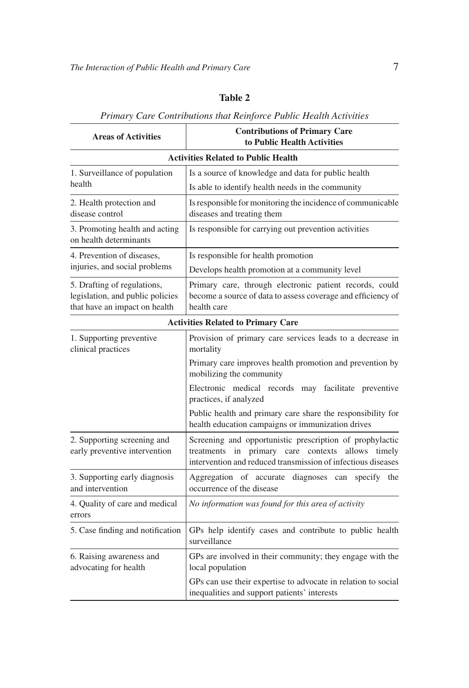## **Table 2**

## *Primary Care Contributions that Reinforce Public Health Activities*

| <b>Areas of Activities</b>                                                                       | <b>Contributions of Primary Care</b><br>to Public Health Activities                                                                                                           |  |
|--------------------------------------------------------------------------------------------------|-------------------------------------------------------------------------------------------------------------------------------------------------------------------------------|--|
|                                                                                                  | <b>Activities Related to Public Health</b>                                                                                                                                    |  |
| 1. Surveillance of population                                                                    | Is a source of knowledge and data for public health                                                                                                                           |  |
| health                                                                                           | Is able to identify health needs in the community                                                                                                                             |  |
| 2. Health protection and<br>disease control                                                      | Is responsible for monitoring the incidence of communicable<br>diseases and treating them                                                                                     |  |
| 3. Promoting health and acting<br>on health determinants                                         | Is responsible for carrying out prevention activities                                                                                                                         |  |
| 4. Prevention of diseases,                                                                       | Is responsible for health promotion                                                                                                                                           |  |
| injuries, and social problems                                                                    | Develops health promotion at a community level                                                                                                                                |  |
| 5. Drafting of regulations,<br>legislation, and public policies<br>that have an impact on health | Primary care, through electronic patient records, could<br>become a source of data to assess coverage and efficiency of<br>health care                                        |  |
|                                                                                                  | <b>Activities Related to Primary Care</b>                                                                                                                                     |  |
| 1. Supporting preventive<br>clinical practices                                                   | Provision of primary care services leads to a decrease in<br>mortality                                                                                                        |  |
|                                                                                                  | Primary care improves health promotion and prevention by<br>mobilizing the community                                                                                          |  |
|                                                                                                  | Electronic medical records may facilitate preventive<br>practices, if analyzed                                                                                                |  |
|                                                                                                  | Public health and primary care share the responsibility for<br>health education campaigns or immunization drives                                                              |  |
| 2. Supporting screening and<br>early preventive intervention                                     | Screening and opportunistic prescription of prophylactic<br>treatments in primary care contexts allows timely<br>intervention and reduced transmission of infectious diseases |  |
| 3. Supporting early diagnosis<br>and intervention                                                | Aggregation of accurate<br>diagnoses can specify<br>the<br>occurrence of the disease                                                                                          |  |
| 4. Quality of care and medical<br>errors                                                         | No information was found for this area of activity                                                                                                                            |  |
| 5. Case finding and notification                                                                 | GPs help identify cases and contribute to public health<br>surveillance                                                                                                       |  |
| 6. Raising awareness and<br>advocating for health                                                | GPs are involved in their community; they engage with the<br>local population                                                                                                 |  |
|                                                                                                  | GPs can use their expertise to advocate in relation to social<br>inequalities and support patients' interests                                                                 |  |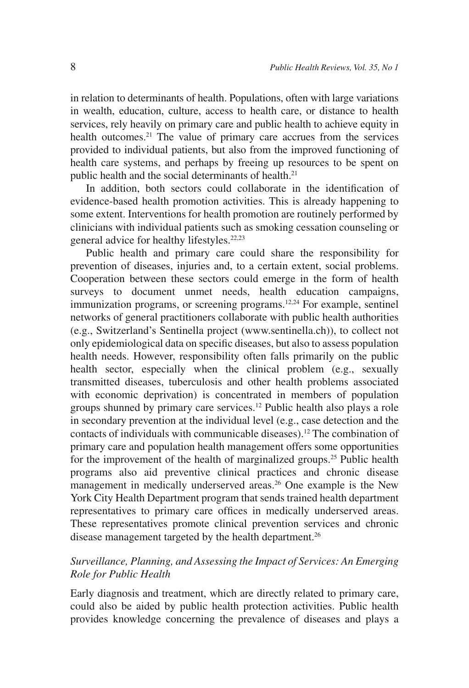in relation to determinants of health. Populations, often with large variations in wealth, education, culture, access to health care, or distance to health services, rely heavily on primary care and public health to achieve equity in health outcomes.<sup>21</sup> The value of primary care accrues from the services provided to individual patients, but also from the improved functioning of health care systems, and perhaps by freeing up resources to be spent on public health and the social determinants of health.<sup>21</sup>

In addition, both sectors could collaborate in the identification of evidence-based health promotion activities. This is already happening to some extent. Interventions for health promotion are routinely performed by clinicians with individual patients such as smoking cessation counseling or general advice for healthy lifestyles.<sup>22,23</sup>

Public health and primary care could share the responsibility for prevention of diseases, injuries and, to a certain extent, social problems. Cooperation between these sectors could emerge in the form of health surveys to document unmet needs, health education campaigns, immunization programs, or screening programs.<sup>12,24</sup> For example, sentinel networks of general practitioners collaborate with public health authorities (e.g., Switzerland's Sentinella project (www.sentinella.ch)), to collect not only epidemiological data on specific diseases, but also to assess population health needs. However, responsibility often falls primarily on the public health sector, especially when the clinical problem (e.g., sexually transmitted diseases, tuberculosis and other health problems associated with economic deprivation) is concentrated in members of population groups shunned by primary care services.12 Public health also plays a role in secondary prevention at the individual level (e.g., case detection and the contacts of individuals with communicable diseases).12 The combination of primary care and population health management offers some opportunities for the improvement of the health of marginalized groups.<sup>25</sup> Public health programs also aid preventive clinical practices and chronic disease management in medically underserved areas.<sup>26</sup> One example is the New York City Health Department program that sends trained health department representatives to primary care offices in medically underserved areas. These representatives promote clinical prevention services and chronic disease management targeted by the health department.<sup>26</sup>

## *Surveillance, Planning, and Assessing the Impact of Services: An Emerging Role for Public Health*

Early diagnosis and treatment, which are directly related to primary care, could also be aided by public health protection activities. Public health provides knowledge concerning the prevalence of diseases and plays a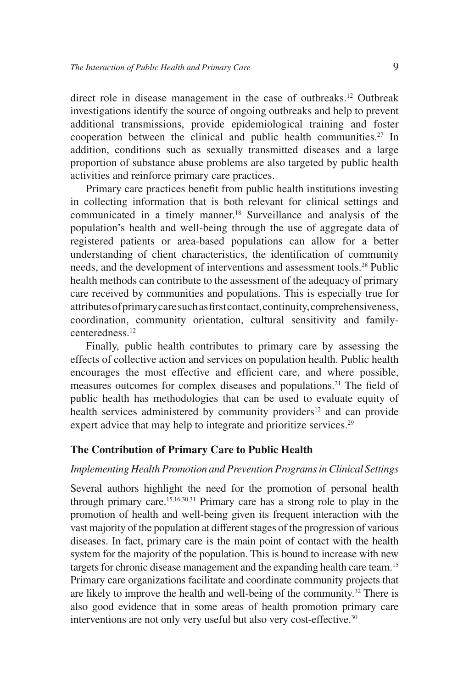direct role in disease management in the case of outbreaks.<sup>12</sup> Outbreak investigations identify the source of ongoing outbreaks and help to prevent additional transmissions, provide epidemiological training and foster cooperation between the clinical and public health communities.<sup>27</sup> In addition, conditions such as sexually transmitted diseases and a large proportion of substance abuse problems are also targeted by public health activities and reinforce primary care practices.

Primary care practices benefit from public health institutions investing in collecting information that is both relevant for clinical settings and communicated in a timely manner.18 Surveillance and analysis of the population's health and well-being through the use of aggregate data of registered patients or area-based populations can allow for a better understanding of client characteristics, the identification of community needs, and the development of interventions and assessment tools.28 Public health methods can contribute to the assessment of the adequacy of primary care received by communities and populations. This is especially true for attributes of primary care such as first contact, continuity, comprehensiveness, coordination, community orientation, cultural sensitivity and familycenteredness.12

Finally, public health contributes to primary care by assessing the effects of collective action and services on population health. Public health encourages the most effective and efficient care, and where possible, measures outcomes for complex diseases and populations.21 The field of public health has methodologies that can be used to evaluate equity of health services administered by community providers<sup>12</sup> and can provide expert advice that may help to integrate and prioritize services.<sup>29</sup>

### **The Contribution of Primary Care to Public Health**

### *Implementing Health Promotion and Prevention Programs in Clinical Settings*

Several authors highlight the need for the promotion of personal health through primary care.15,16,30,31 Primary care has a strong role to play in the promotion of health and well-being given its frequent interaction with the vast majority of the population at different stages of the progression of various diseases. In fact, primary care is the main point of contact with the health system for the majority of the population. This is bound to increase with new targets for chronic disease management and the expanding health care team.15 Primary care organizations facilitate and coordinate community projects that are likely to improve the health and well-being of the community.<sup>32</sup> There is also good evidence that in some areas of health promotion primary care interventions are not only very useful but also very cost-effective.<sup>30</sup>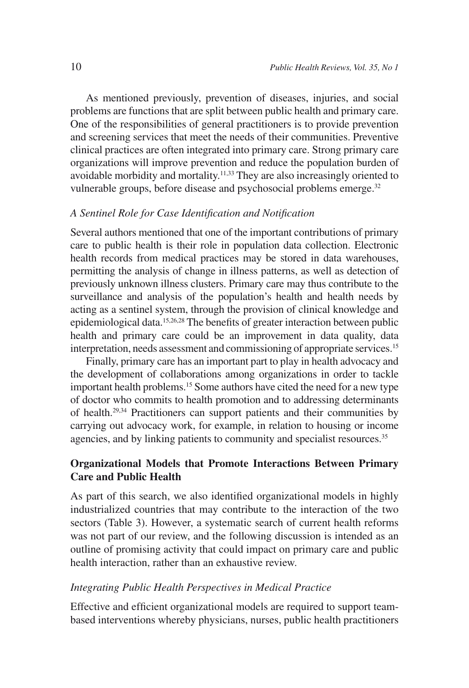As mentioned previously, prevention of diseases, injuries, and social problems are functions that are split between public health and primary care. One of the responsibilities of general practitioners is to provide prevention and screening services that meet the needs of their communities. Preventive clinical practices are often integrated into primary care. Strong primary care organizations will improve prevention and reduce the population burden of avoidable morbidity and mortality.11,33 They are also increasingly oriented to vulnerable groups, before disease and psychosocial problems emerge.<sup>32</sup>

#### *A Sentinel Role for Case Identification and Notification*

Several authors mentioned that one of the important contributions of primary care to public health is their role in population data collection. Electronic health records from medical practices may be stored in data warehouses, permitting the analysis of change in illness patterns, as well as detection of previously unknown illness clusters. Primary care may thus contribute to the surveillance and analysis of the population's health and health needs by acting as a sentinel system, through the provision of clinical knowledge and epidemiological data.15,26,28 The benefits of greater interaction between public health and primary care could be an improvement in data quality, data interpretation, needs assessment and commissioning of appropriate services.<sup>15</sup>

Finally, primary care has an important part to play in health advocacy and the development of collaborations among organizations in order to tackle important health problems.15 Some authors have cited the need for a new type of doctor who commits to health promotion and to addressing determinants of health.29,34 Practitioners can support patients and their communities by carrying out advocacy work, for example, in relation to housing or income agencies, and by linking patients to community and specialist resources.<sup>35</sup>

## **Organizational Models that Promote Interactions Between Primary Care and Public Health**

As part of this search, we also identified organizational models in highly industrialized countries that may contribute to the interaction of the two sectors (Table 3). However, a systematic search of current health reforms was not part of our review, and the following discussion is intended as an outline of promising activity that could impact on primary care and public health interaction, rather than an exhaustive review.

### *Integrating Public Health Perspectives in Medical Practice*

Effective and efficient organizational models are required to support teambased interventions whereby physicians, nurses, public health practitioners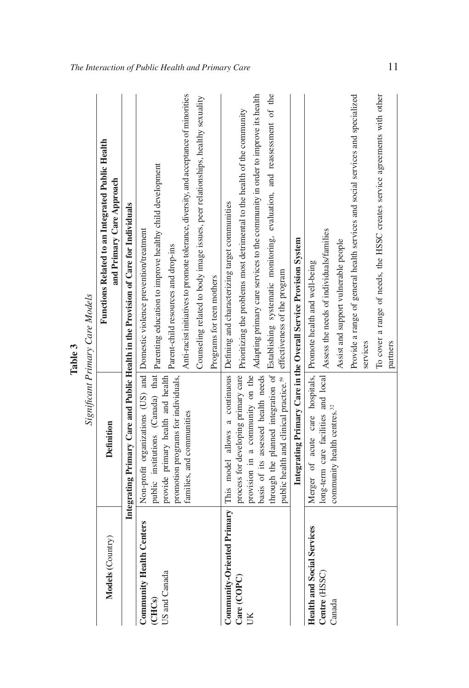|                                                            |                                                                                 | Significant Primary Care Models                                                                                                                                                                                                 |
|------------------------------------------------------------|---------------------------------------------------------------------------------|---------------------------------------------------------------------------------------------------------------------------------------------------------------------------------------------------------------------------------|
| Models (Country)                                           | <b>Definition</b>                                                               | Functions Related to an Integrated Public Health<br>and Primary Care Approach                                                                                                                                                   |
|                                                            |                                                                                 | Integrating Primary Care and Public Health in the Provision of Care for Individuals                                                                                                                                             |
| <b>Community Health Centers</b><br>US and Canada<br>(CHCs) | provide primary health and health                                               | public institutions (Canada) that   parenting education to improve healthy child development<br>Non-profit organizations (US) and Domestic violence prevention/treatment                                                        |
|                                                            | promotion programs for individuals,<br>families, and communities                | Anti-racist initiatives to promote tolerance, diversity, and acceptance of minorities<br>Parent-child resources and drop-ins                                                                                                    |
|                                                            |                                                                                 | Counseling related to body image issues, peer relationships, healthy sexuality<br>Programs for teen mothers                                                                                                                     |
| Care (COPC)                                                |                                                                                 | process for developing primary care   Prioritizing the problems most detrimental to the health of the community<br>Community-Oriented Primary   This model allows a continuous   Defining and characterizing target communities |
| UK                                                         | provision in a community on the                                                 | basis of its assessed health needs Adapting primary care services to the community in order to improve its health                                                                                                               |
|                                                            | public health and clinical practice. <sup>59</sup> effectiveness of the program | through the planned integration of Establishing systematic monitoring, evaluation, and reassessment of the                                                                                                                      |
|                                                            |                                                                                 | Integrating Primary Care in the Overall Service Provision System                                                                                                                                                                |
| <b>Health and Social Services</b>                          | Merger of acute care hospitals, Promote health and well-being                   |                                                                                                                                                                                                                                 |
| Centre (HSSC)                                              |                                                                                 | long-term care facilities and local Assess the needs of individuals/families                                                                                                                                                    |
| Canada                                                     | community health centres. <sup>32</sup>                                         | Assist and support vulnerable people                                                                                                                                                                                            |
|                                                            |                                                                                 | Provide a range of general health services and social services and specialized<br>services                                                                                                                                      |
|                                                            |                                                                                 | To cover a range of needs, the HSSC creates service agreements with other                                                                                                                                                       |
|                                                            |                                                                                 | partners                                                                                                                                                                                                                        |

**Table 3** *Significant Primary Care Models* Table 3

*The Interaction of Public Health and Primary Care* 11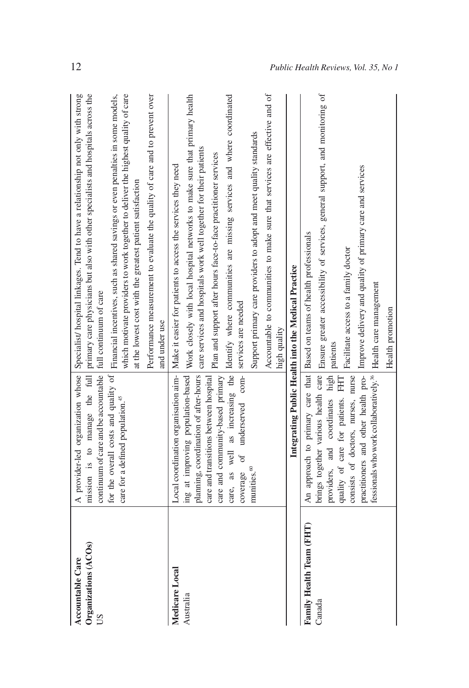| Organizations (ACOs)<br><b>Accountable Care</b><br>SD | continuum of care and be accountable full continuum of care<br>care for a defined population. <sup>45</sup>                                                                                                                                                             | A provider-led organization whose Specialist/ hospital linkages. Tend to have a relationship not only with strong<br>mission is to manage the full primary care physicians but also with other specialists and hospitals across the<br>which motivate providers to work together to deliver the highest quality of care<br>for the overall costs and quality of   Financial incentives, such as shared savings or even penalties in some models,<br>Performance measurement to evaluate the quality of care and to prevent over<br>at the lowest cost with the greatest patient satisfaction<br>and under use |
|-------------------------------------------------------|-------------------------------------------------------------------------------------------------------------------------------------------------------------------------------------------------------------------------------------------------------------------------|---------------------------------------------------------------------------------------------------------------------------------------------------------------------------------------------------------------------------------------------------------------------------------------------------------------------------------------------------------------------------------------------------------------------------------------------------------------------------------------------------------------------------------------------------------------------------------------------------------------|
| Medicare Local<br>Australia                           | underserved com- services are needed<br>planning, coordination of after-hours<br>ing at improving population-based<br>care and community-based primary<br>care and transitions between hospital<br>coverage of<br>munities. <sup>60</sup>                               | Accountable to communities to make sure that services are effective and of<br>care, as well as increasing the Identify where communities are missing services and where coordinated<br>Work closely with local hospital networks to make sure that primary health<br>Support primary care providers to adopt and meet quality standards<br>care services and hospitals work well together for their patients<br>Plan and support after hours face-to-face practitioner services<br>Local coordination organisation aim- Make it easier for patients to access the services they need<br>high quality          |
|                                                       |                                                                                                                                                                                                                                                                         | Integrating Public Health into the Medical Practice                                                                                                                                                                                                                                                                                                                                                                                                                                                                                                                                                           |
| Family Health Team (FHT)<br>Canada                    | fessionals who work collaboratively. <sup>36</sup>   Health care management<br>practitioners and other health pro-<br>brings together various health care<br>providers, and coordinates high<br>consists of doctors, nurses, nurse<br>quality of care for patients. FHT | Ensure greater accessibility of services, general support, and monitoring of<br>Improve delivery and quality of primary care and services<br>An approach to primary care that Based on teams of health professionals<br>Facilitate access to a family doctor<br>Health promotion<br>patients                                                                                                                                                                                                                                                                                                                  |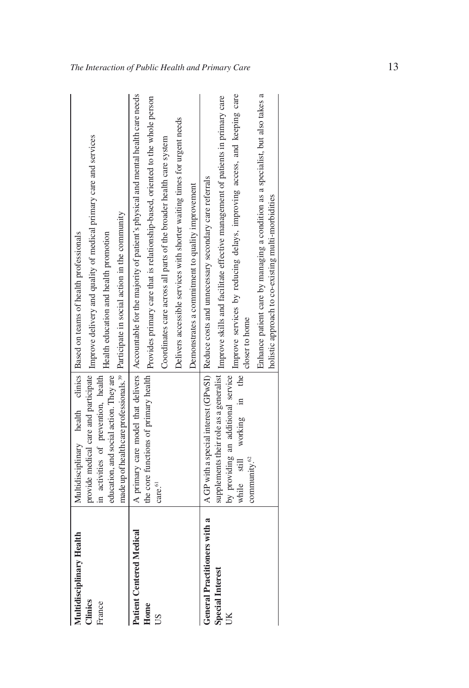| Multidisciplinary Health        |                                     | Multidisciplinary health clinics   Based on teams of health professionals                                                                                                                                                       |
|---------------------------------|-------------------------------------|---------------------------------------------------------------------------------------------------------------------------------------------------------------------------------------------------------------------------------|
| Clinics                         |                                     | provide medical care and participate   Improve delivery and quality of medical primary care and services                                                                                                                        |
| France                          | in activities of prevention, health |                                                                                                                                                                                                                                 |
|                                 |                                     | education, and social action. They are   Health education and health promotion                                                                                                                                                  |
|                                 |                                     | made up of health care professionals. <sup>39</sup> Participate in social action in the community                                                                                                                               |
| <b>Patient Centered Medical</b> |                                     | A primary care model that delivers   Accountable for the majority of patient's physical and mental health care needs                                                                                                            |
| Home                            |                                     | the core functions of primary health   Provides primary care that is relationship-based, oriented to the whole person                                                                                                           |
| SU                              | care. <sup>61</sup>                 | Coordinates care across all parts of the broader health care system                                                                                                                                                             |
|                                 |                                     | Delivers accessible services with shorter waiting times for urgent needs                                                                                                                                                        |
|                                 |                                     | Demonstrates a commitment to quality improvement                                                                                                                                                                                |
| General Practitioners with a    |                                     | A GP with a special interest (GPwSI) Reduce costs and unnecessary secondary care referrals                                                                                                                                      |
| <b>Special Interest</b>         |                                     | supplements their role as a generalist   Improve skills and facilitate effective management of patients in primary care                                                                                                         |
| Ű                               | community. <sup>62</sup>            | by providing an additional service Improve services by reducing delays, improving access, and keeping care while still working in the Improve services by reducing delays, improving access, and keeping care<br>closer to home |
|                                 |                                     | Enhance patient care by managing a condition as a specialist, but also takes a<br>holistic approach to co-existing multi-morbidities                                                                                            |
|                                 |                                     |                                                                                                                                                                                                                                 |

*The Interaction of Public Health and Primary Care* 13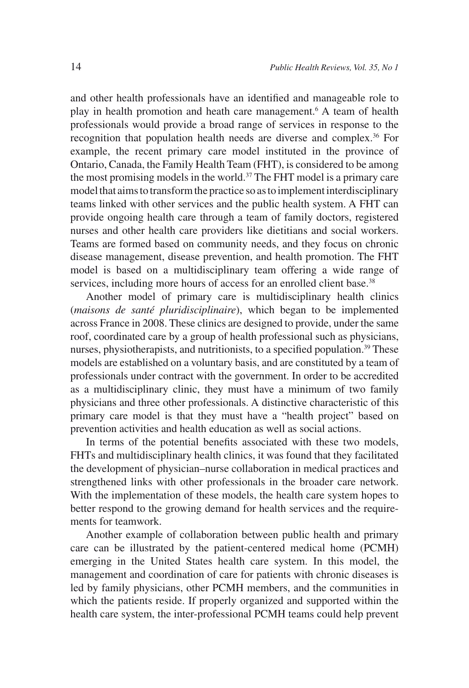and other health professionals have an identified and manageable role to play in health promotion and heath care management.<sup>6</sup> A team of health professionals would provide a broad range of services in response to the recognition that population health needs are diverse and complex.<sup>36</sup> For example, the recent primary care model instituted in the province of Ontario, Canada, the Family Health Team (FHT), is considered to be among the most promising models in the world.37 The FHT model is a primary care model that aims to transform the practice so as to implement interdisciplinary teams linked with other services and the public health system. A FHT can provide ongoing health care through a team of family doctors, registered nurses and other health care providers like dietitians and social workers. Teams are formed based on community needs, and they focus on chronic disease management, disease prevention, and health promotion. The FHT model is based on a multidisciplinary team offering a wide range of services, including more hours of access for an enrolled client base.<sup>38</sup>

Another model of primary care is multidisciplinary health clinics (*maisons de santé pluridisciplinaire*), which began to be implemented across France in 2008. These clinics are designed to provide, under the same roof, coordinated care by a group of health professional such as physicians, nurses, physiotherapists, and nutritionists, to a specified population.<sup>39</sup> These models are established on a voluntary basis, and are constituted by a team of professionals under contract with the government. In order to be accredited as a multidisciplinary clinic, they must have a minimum of two family physicians and three other professionals. A distinctive characteristic of this primary care model is that they must have a "health project" based on prevention activities and health education as well as social actions.

In terms of the potential benefits associated with these two models, FHTs and multidisciplinary health clinics, it was found that they facilitated the development of physician–nurse collaboration in medical practices and strengthened links with other professionals in the broader care network. With the implementation of these models, the health care system hopes to better respond to the growing demand for health services and the requirements for teamwork.

Another example of collaboration between public health and primary care can be illustrated by the patient-centered medical home (PCMH) emerging in the United States health care system. In this model, the management and coordination of care for patients with chronic diseases is led by family physicians, other PCMH members, and the communities in which the patients reside. If properly organized and supported within the health care system, the inter-professional PCMH teams could help prevent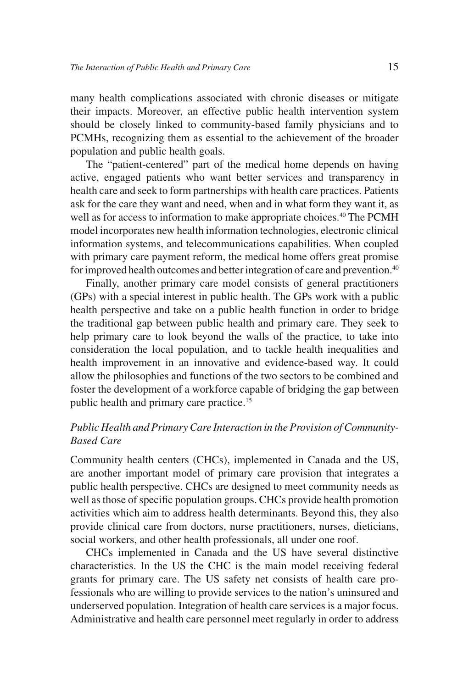many health complications associated with chronic diseases or mitigate their impacts. Moreover, an effective public health intervention system should be closely linked to community-based family physicians and to PCMHs, recognizing them as essential to the achievement of the broader population and public health goals.

The "patient-centered" part of the medical home depends on having active, engaged patients who want better services and transparency in health care and seek to form partnerships with health care practices. Patients ask for the care they want and need, when and in what form they want it, as well as for access to information to make appropriate choices.<sup>40</sup> The PCMH model incorporates new health information technologies, electronic clinical information systems, and telecommunications capabilities. When coupled with primary care payment reform, the medical home offers great promise for improved health outcomes and better integration of care and prevention.<sup>40</sup>

Finally, another primary care model consists of general practitioners (GPs) with a special interest in public health. The GPs work with a public health perspective and take on a public health function in order to bridge the traditional gap between public health and primary care. They seek to help primary care to look beyond the walls of the practice, to take into consideration the local population, and to tackle health inequalities and health improvement in an innovative and evidence-based way. It could allow the philosophies and functions of the two sectors to be combined and foster the development of a workforce capable of bridging the gap between public health and primary care practice.<sup>15</sup>

## *Public Health and Primary Care Interaction in the Provision of Community-Based Care*

Community health centers (CHCs), implemented in Canada and the US, are another important model of primary care provision that integrates a public health perspective. CHCs are designed to meet community needs as well as those of specific population groups. CHCs provide health promotion activities which aim to address health determinants. Beyond this, they also provide clinical care from doctors, nurse practitioners, nurses, dieticians, social workers, and other health professionals, all under one roof.

CHCs implemented in Canada and the US have several distinctive characteristics. In the US the CHC is the main model receiving federal grants for primary care. The US safety net consists of health care professionals who are willing to provide services to the nation's uninsured and underserved population. Integration of health care services is a major focus. Administrative and health care personnel meet regularly in order to address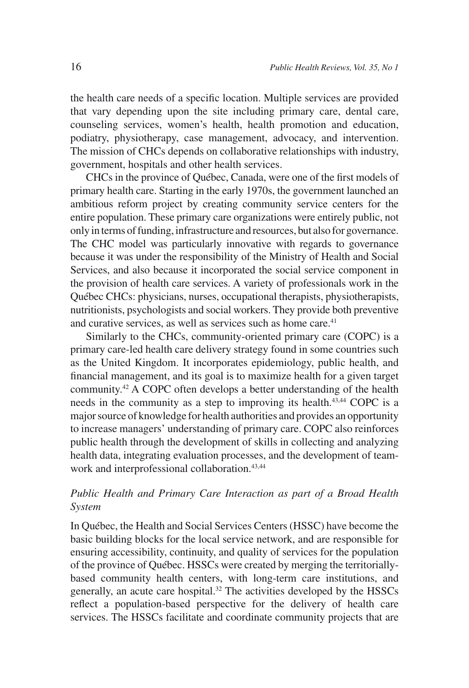the health care needs of a specific location. Multiple services are provided that vary depending upon the site including primary care, dental care, counseling services, women's health, health promotion and education, podiatry, physiotherapy, case management, advocacy, and intervention. The mission of CHCs depends on collaborative relationships with industry, government, hospitals and other health services.

CHCs in the province of Québec, Canada, were one of the first models of primary health care. Starting in the early 1970s, the government launched an ambitious reform project by creating community service centers for the entire population. These primary care organizations were entirely public, not only in terms of funding, infrastructure and resources, but also for governance. The CHC model was particularly innovative with regards to governance because it was under the responsibility of the Ministry of Health and Social Services, and also because it incorporated the social service component in the provision of health care services. A variety of professionals work in the Québec CHCs: physicians, nurses, occupational therapists, physiotherapists, nutritionists, psychologists and social workers. They provide both preventive and curative services, as well as services such as home care.<sup>41</sup>

Similarly to the CHCs, community-oriented primary care (COPC) is a primary care-led health care delivery strategy found in some countries such as the United Kingdom. It incorporates epidemiology, public health, and financial management, and its goal is to maximize health for a given target community.42 A COPC often develops a better understanding of the health needs in the community as a step to improving its health.<sup>43,44</sup> COPC is a major source of knowledge for health authorities and provides an opportunity to increase managers' understanding of primary care. COPC also reinforces public health through the development of skills in collecting and analyzing health data, integrating evaluation processes, and the development of teamwork and interprofessional collaboration.<sup>43,44</sup>

## *Public Health and Primary Care Interaction as part of a Broad Health System*

In Québec, the Health and Social Services Centers (HSSC) have become the basic building blocks for the local service network, and are responsible for ensuring accessibility, continuity, and quality of services for the population of the province of Québec. HSSCs were created by merging the territoriallybased community health centers, with long-term care institutions, and generally, an acute care hospital.<sup>32</sup> The activities developed by the HSSCs reflect a population-based perspective for the delivery of health care services. The HSSCs facilitate and coordinate community projects that are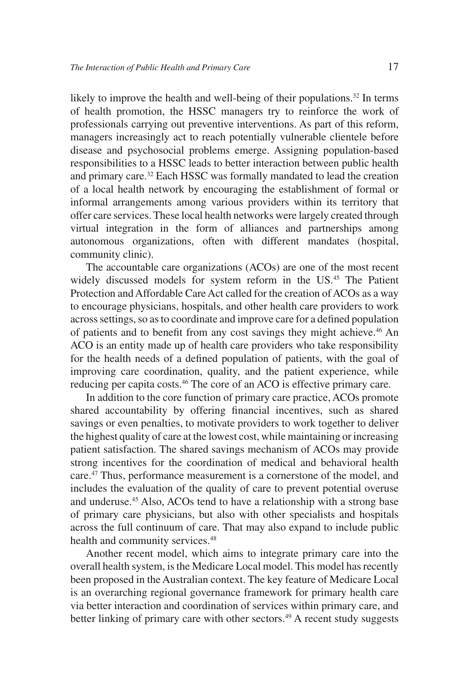likely to improve the health and well-being of their populations.<sup>32</sup> In terms of health promotion, the HSSC managers try to reinforce the work of professionals carrying out preventive interventions. As part of this reform, managers increasingly act to reach potentially vulnerable clientele before disease and psychosocial problems emerge. Assigning population-based responsibilities to a HSSC leads to better interaction between public health and primary care.32 Each HSSC was formally mandated to lead the creation of a local health network by encouraging the establishment of formal or informal arrangements among various providers within its territory that offer care services. These local health networks were largely created through virtual integration in the form of alliances and partnerships among autonomous organizations, often with different mandates (hospital, community clinic).

The accountable care organizations (ACOs) are one of the most recent widely discussed models for system reform in the US.<sup>45</sup> The Patient Protection and Affordable Care Act called for the creation of ACOs as a way to encourage physicians, hospitals, and other health care providers to work across settings, so as to coordinate and improve care for a defined population of patients and to benefit from any cost savings they might achieve.46 An ACO is an entity made up of health care providers who take responsibility for the health needs of a defined population of patients, with the goal of improving care coordination, quality, and the patient experience, while reducing per capita costs.<sup>46</sup> The core of an ACO is effective primary care.

In addition to the core function of primary care practice, ACOs promote shared accountability by offering financial incentives, such as shared savings or even penalties, to motivate providers to work together to deliver the highest quality of care at the lowest cost, while maintaining or increasing patient satisfaction. The shared savings mechanism of ACOs may provide strong incentives for the coordination of medical and behavioral health care.<sup>47</sup> Thus, performance measurement is a cornerstone of the model, and includes the evaluation of the quality of care to prevent potential overuse and underuse.45 Also, ACOs tend to have a relationship with a strong base of primary care physicians, but also with other specialists and hospitals across the full continuum of care. That may also expand to include public health and community services.<sup>48</sup>

Another recent model, which aims to integrate primary care into the overall health system, is the Medicare Local model. This model has recently been proposed in the Australian context. The key feature of Medicare Local is an overarching regional governance framework for primary health care via better interaction and coordination of services within primary care, and better linking of primary care with other sectors.<sup>49</sup> A recent study suggests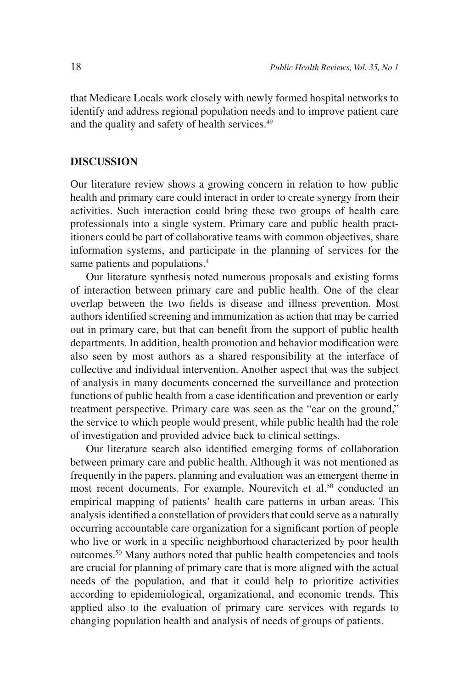that Medicare Locals work closely with newly formed hospital networks to identify and address regional population needs and to improve patient care and the quality and safety of health services.<sup>49</sup>

## **DISCUSSION**

Our literature review shows a growing concern in relation to how public health and primary care could interact in order to create synergy from their activities. Such interaction could bring these two groups of health care professionals into a single system. Primary care and public health practitioners could be part of collaborative teams with common objectives, share information systems, and participate in the planning of services for the same patients and populations.<sup>4</sup>

Our literature synthesis noted numerous proposals and existing forms of interaction between primary care and public health. One of the clear overlap between the two fields is disease and illness prevention. Most authors identified screening and immunization as action that may be carried out in primary care, but that can benefit from the support of public health departments. In addition, health promotion and behavior modification were also seen by most authors as a shared responsibility at the interface of collective and individual intervention. Another aspect that was the subject of analysis in many documents concerned the surveillance and protection functions of public health from a case identification and prevention or early treatment perspective. Primary care was seen as the "ear on the ground," the service to which people would present, while public health had the role of investigation and provided advice back to clinical settings.

Our literature search also identified emerging forms of collaboration between primary care and public health. Although it was not mentioned as frequently in the papers, planning and evaluation was an emergent theme in most recent documents. For example, Nourevitch et al.<sup>50</sup> conducted an empirical mapping of patients' health care patterns in urban areas. This analysis identified a constellation of providers that could serve as a naturally occurring accountable care organization for a significant portion of people who live or work in a specific neighborhood characterized by poor health outcomes.50 Many authors noted that public health competencies and tools are crucial for planning of primary care that is more aligned with the actual needs of the population, and that it could help to prioritize activities according to epidemiological, organizational, and economic trends. This applied also to the evaluation of primary care services with regards to changing population health and analysis of needs of groups of patients.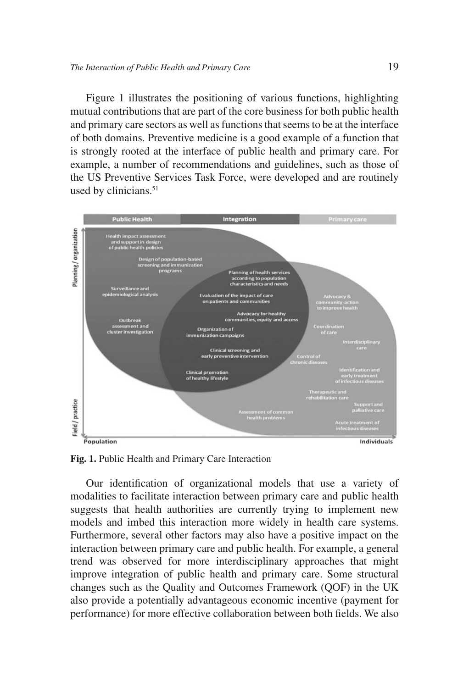Figure 1 illustrates the positioning of various functions, highlighting mutual contributions that are part of the core business for both public health and primary care sectors as well as functions that seems to be at the interface of both domains. Preventive medicine is a good example of a function that is strongly rooted at the interface of public health and primary care. For example, a number of recommendations and guidelines, such as those of the US Preventive Services Task Force, were developed and are routinely used by clinicians.<sup>51</sup>



**Fig. 1.** Public Health and Primary Care Interaction

Our identification of organizational models that use a variety of modalities to facilitate interaction between primary care and public health suggests that health authorities are currently trying to implement new models and imbed this interaction more widely in health care systems. Furthermore, several other factors may also have a positive impact on the interaction between primary care and public health. For example, a general trend was observed for more interdisciplinary approaches that might improve integration of public health and primary care. Some structural changes such as the Quality and Outcomes Framework (QOF) in the UK also provide a potentially advantageous economic incentive (payment for performance) for more effective collaboration between both fields. We also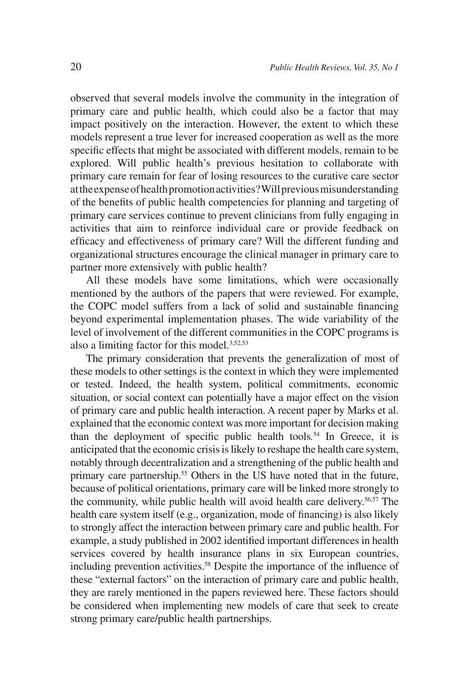observed that several models involve the community in the integration of primary care and public health, which could also be a factor that may impact positively on the interaction. However, the extent to which these models represent a true lever for increased cooperation as well as the more specific effects that might be associated with different models, remain to be explored. Will public health's previous hesitation to collaborate with primary care remain for fear of losing resources to the curative care sector at the expense of health promotion activities? Will previous misunderstanding of the benefits of public health competencies for planning and targeting of primary care services continue to prevent clinicians from fully engaging in activities that aim to reinforce individual care or provide feedback on efficacy and effectiveness of primary care? Will the different funding and organizational structures encourage the clinical manager in primary care to partner more extensively with public health?

All these models have some limitations, which were occasionally mentioned by the authors of the papers that were reviewed. For example, the COPC model suffers from a lack of solid and sustainable financing beyond experimental implementation phases. The wide variability of the level of involvement of the different communities in the COPC programs is also a limiting factor for this model.<sup>3,52,53</sup>

The primary consideration that prevents the generalization of most of these models to other settings is the context in which they were implemented or tested. Indeed, the health system, political commitments, economic situation, or social context can potentially have a major effect on the vision of primary care and public health interaction. A recent paper by Marks et al. explained that the economic context was more important for decision making than the deployment of specific public health tools*.* <sup>54</sup> In Greece, it is anticipated that the economic crisis is likely to reshape the health care system, notably through decentralization and a strengthening of the public health and primary care partnership.<sup>55</sup> Others in the US have noted that in the future, because of political orientations, primary care will be linked more strongly to the community, while public health will avoid health care delivery.56,57 The health care system itself (e.g., organization, mode of financing) is also likely to strongly affect the interaction between primary care and public health. For example, a study published in 2002 identified important differences in health services covered by health insurance plans in six European countries, including prevention activities.<sup>58</sup> Despite the importance of the influence of these "external factors" on the interaction of primary care and public health, they are rarely mentioned in the papers reviewed here. These factors should be considered when implementing new models of care that seek to create strong primary care/public health partnerships.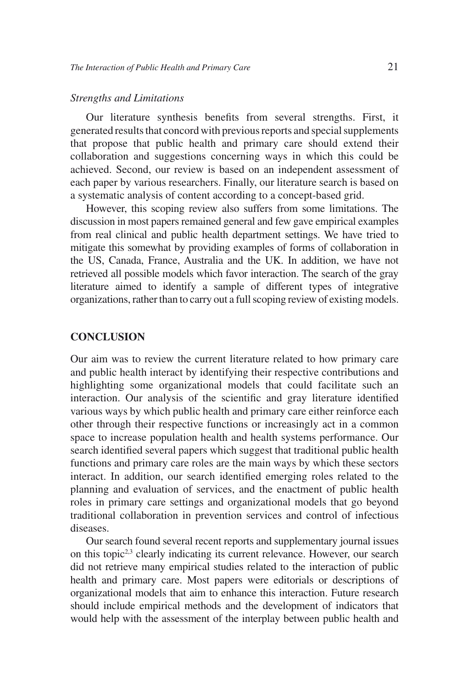#### *Strengths and Limitations*

Our literature synthesis benefits from several strengths. First, it generated results that concord with previous reports and special supplements that propose that public health and primary care should extend their collaboration and suggestions concerning ways in which this could be achieved. Second, our review is based on an independent assessment of each paper by various researchers. Finally, our literature search is based on a systematic analysis of content according to a concept-based grid.

However, this scoping review also suffers from some limitations. The discussion in most papers remained general and few gave empirical examples from real clinical and public health department settings. We have tried to mitigate this somewhat by providing examples of forms of collaboration in the US, Canada, France, Australia and the UK. In addition, we have not retrieved all possible models which favor interaction. The search of the gray literature aimed to identify a sample of different types of integrative organizations, rather than to carry out a full scoping review of existing models.

### **CONCLUSION**

Our aim was to review the current literature related to how primary care and public health interact by identifying their respective contributions and highlighting some organizational models that could facilitate such an interaction. Our analysis of the scientific and gray literature identified various ways by which public health and primary care either reinforce each other through their respective functions or increasingly act in a common space to increase population health and health systems performance. Our search identified several papers which suggest that traditional public health functions and primary care roles are the main ways by which these sectors interact. In addition, our search identified emerging roles related to the planning and evaluation of services, and the enactment of public health roles in primary care settings and organizational models that go beyond traditional collaboration in prevention services and control of infectious diseases.

Our search found several recent reports and supplementary journal issues on this topic<sup>2,3</sup> clearly indicating its current relevance. However, our search did not retrieve many empirical studies related to the interaction of public health and primary care. Most papers were editorials or descriptions of organizational models that aim to enhance this interaction. Future research should include empirical methods and the development of indicators that would help with the assessment of the interplay between public health and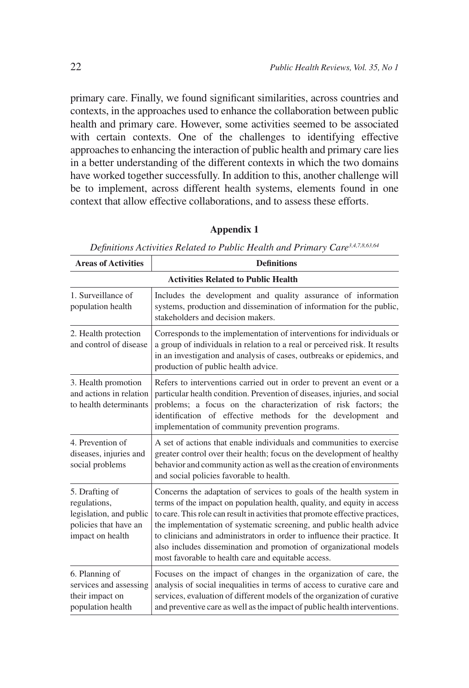primary care. Finally, we found significant similarities, across countries and contexts, in the approaches used to enhance the collaboration between public health and primary care. However, some activities seemed to be associated with certain contexts. One of the challenges to identifying effective approaches to enhancing the interaction of public health and primary care lies in a better understanding of the different contexts in which the two domains have worked together successfully. In addition to this, another challenge will be to implement, across different health systems, elements found in one context that allow effective collaborations, and to assess these efforts.

| <b>Areas of Activities</b>                                                                             | <b>Definitions</b>                                                                                                                                                                                                                                                                                                                                                                                                                                                                                                 |
|--------------------------------------------------------------------------------------------------------|--------------------------------------------------------------------------------------------------------------------------------------------------------------------------------------------------------------------------------------------------------------------------------------------------------------------------------------------------------------------------------------------------------------------------------------------------------------------------------------------------------------------|
| <b>Activities Related to Public Health</b>                                                             |                                                                                                                                                                                                                                                                                                                                                                                                                                                                                                                    |
| 1. Surveillance of<br>population health                                                                | Includes the development and quality assurance of information<br>systems, production and dissemination of information for the public,<br>stakeholders and decision makers.                                                                                                                                                                                                                                                                                                                                         |
| 2. Health protection<br>and control of disease                                                         | Corresponds to the implementation of interventions for individuals or<br>a group of individuals in relation to a real or perceived risk. It results<br>in an investigation and analysis of cases, outbreaks or epidemics, and<br>production of public health advice.                                                                                                                                                                                                                                               |
| 3. Health promotion<br>and actions in relation<br>to health determinants                               | Refers to interventions carried out in order to prevent an event or a<br>particular health condition. Prevention of diseases, injuries, and social<br>problems; a focus on the characterization of risk factors; the<br>identification of effective methods for the development and<br>implementation of community prevention programs.                                                                                                                                                                            |
| 4. Prevention of<br>diseases, injuries and<br>social problems                                          | A set of actions that enable individuals and communities to exercise<br>greater control over their health; focus on the development of healthy<br>behavior and community action as well as the creation of environments<br>and social policies favorable to health.                                                                                                                                                                                                                                                |
| 5. Drafting of<br>regulations,<br>legislation, and public<br>policies that have an<br>impact on health | Concerns the adaptation of services to goals of the health system in<br>terms of the impact on population health, quality, and equity in access<br>to care. This role can result in activities that promote effective practices,<br>the implementation of systematic screening, and public health advice<br>to clinicians and administrators in order to influence their practice. It<br>also includes dissemination and promotion of organizational models<br>most favorable to health care and equitable access. |
| 6. Planning of<br>services and assessing<br>their impact on<br>population health                       | Focuses on the impact of changes in the organization of care, the<br>analysis of social inequalities in terms of access to curative care and<br>services, evaluation of different models of the organization of curative<br>and preventive care as well as the impact of public health interventions.                                                                                                                                                                                                              |

#### **Appendix 1**

*Definitions Activities Related to Public Health and Primary Care3,4,7,8,63,64*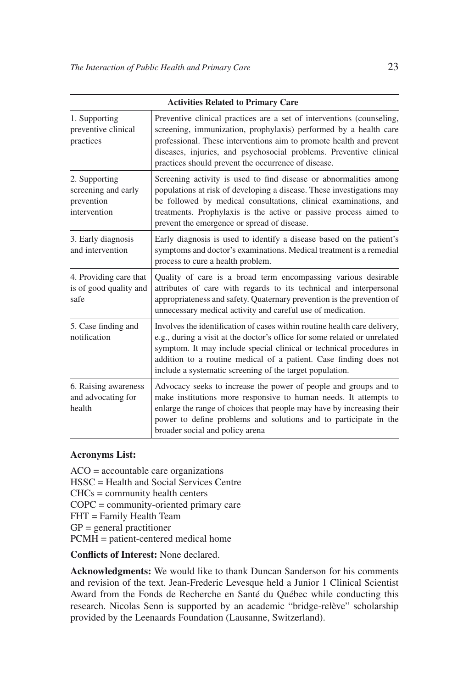|                                                                    | <b>Activities Related to Primary Care</b>                                                                                                                                                                                                                                                                                                                      |
|--------------------------------------------------------------------|----------------------------------------------------------------------------------------------------------------------------------------------------------------------------------------------------------------------------------------------------------------------------------------------------------------------------------------------------------------|
| 1. Supporting<br>preventive clinical<br>practices                  | Preventive clinical practices are a set of interventions (counseling,<br>screening, immunization, prophylaxis) performed by a health care<br>professional. These interventions aim to promote health and prevent<br>diseases, injuries, and psychosocial problems. Preventive clinical<br>practices should prevent the occurrence of disease.                  |
| 2. Supporting<br>screening and early<br>prevention<br>intervention | Screening activity is used to find disease or abnormalities among<br>populations at risk of developing a disease. These investigations may<br>be followed by medical consultations, clinical examinations, and<br>treatments. Prophylaxis is the active or passive process aimed to<br>prevent the emergence or spread of disease.                             |
| 3. Early diagnosis<br>and intervention                             | Early diagnosis is used to identify a disease based on the patient's<br>symptoms and doctor's examinations. Medical treatment is a remedial<br>process to cure a health problem.                                                                                                                                                                               |
| 4. Providing care that<br>is of good quality and<br>safe           | Quality of care is a broad term encompassing various desirable<br>attributes of care with regards to its technical and interpersonal<br>appropriateness and safety. Quaternary prevention is the prevention of<br>unnecessary medical activity and careful use of medication.                                                                                  |
| 5. Case finding and<br>notification                                | Involves the identification of cases within routine health care delivery,<br>e.g., during a visit at the doctor's office for some related or unrelated<br>symptom. It may include special clinical or technical procedures in<br>addition to a routine medical of a patient. Case finding does not<br>include a systematic screening of the target population. |
| 6. Raising awareness<br>and advocating for<br>health               | Advocacy seeks to increase the power of people and groups and to<br>make institutions more responsive to human needs. It attempts to<br>enlarge the range of choices that people may have by increasing their<br>power to define problems and solutions and to participate in the<br>broader social and policy arena                                           |

### **Acronyms List:**

ACO = accountable care organizations HSSC = Health and Social Services Centre CHCs = community health centers COPC = community-oriented primary care FHT = Family Health Team  $GP = general$  practitioner PCMH = patient-centered medical home

**Conflicts of Interest:** None declared.

**Acknowledgments:** We would like to thank Duncan Sanderson for his comments and revision of the text. Jean-Frederic Levesque held a Junior 1 Clinical Scientist Award from the Fonds de Recherche en Santé du Québec while conducting this research. Nicolas Senn is supported by an academic "bridge-relève" scholarship provided by the Leenaards Foundation (Lausanne, Switzerland).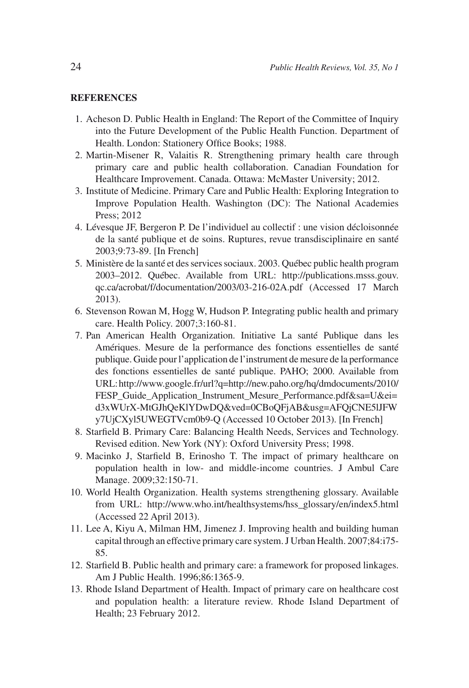#### **REFERENCES**

- 1. Acheson D. Public Health in England: The Report of the Committee of Inquiry into the Future Development of the Public Health Function. Department of Health. London: Stationery Office Books; 1988.
- 2. Martin-Misener R, Valaitis R. Strengthening primary health care through primary care and public health collaboration. Canadian Foundation for Healthcare Improvement. Canada. Ottawa: McMaster University; 2012.
- 3. Institute of Medicine. Primary Care and Public Health: Exploring Integration to Improve Population Health. Washington (DC): The National Academies Press; 2012
- 4. Lévesque JF, Bergeron P. De l'individuel au collectif : une vision décloisonnée de la santé publique et de soins. Ruptures, revue transdisciplinaire en santé 2003;9:73-89. [In French]
- 5. Ministère de la santé et des services sociaux. 2003. Québec public health program 2003–2012. Québec. Available from URL: http://publications.msss.gouv. qc.ca/acrobat/f/documentation/2003/03-216-02A.pdf (Accessed 17 March 2013).
- 6. Stevenson Rowan M, Hogg W, Hudson P. Integrating public health and primary care. Health Policy. 2007;3:160-81.
- 7. Pan American Health Organization. Initiative La santé Publique dans les Amériques. Mesure de la performance des fonctions essentielles de santé publique. Guide pour l'application de l'instrument de mesure de la performance des fonctions essentielles de santé publique. PAHO; 2000. Available from URL: http://www.google.fr/url?q=http://new.paho.org/hq/dmdocuments/2010/ FESP\_Guide\_Application\_Instrument\_Mesure\_Performance.pdf&sa=U&ei= d3xWUrX-MtGJhQeKlYDwDQ&ved=0CBoQFjAB&usg=AFQjCNE5lJFW y7UjCXyl5UWEGTVcm0b9-Q (Accessed 10 October 2013). [In French]
- 8. Starfield B. Primary Care: Balancing Health Needs, Services and Technology. Revised edition. New York (NY): Oxford University Press; 1998.
- 9. Macinko J, Starfield B, Erinosho T. The impact of primary healthcare on population health in low- and middle-income countries. J Ambul Care Manage. 2009;32:150-71.
- 10. World Health Organization. Health systems strengthening glossary. Available from URL: http://www.who.int/healthsystems/hss\_glossary/en/index5.html (Accessed 22 April 2013).
- 11. Lee A, Kiyu A, Milman HM, Jimenez J. Improving health and building human capital through an effective primary care system. J Urban Health. 2007;84:i75- 85.
- 12. Starfield B. Public health and primary care: a framework for proposed linkages. Am J Public Health. 1996;86:1365-9.
- 13. Rhode Island Department of Health. Impact of primary care on healthcare cost and population health: a literature review. Rhode Island Department of Health; 23 February 2012.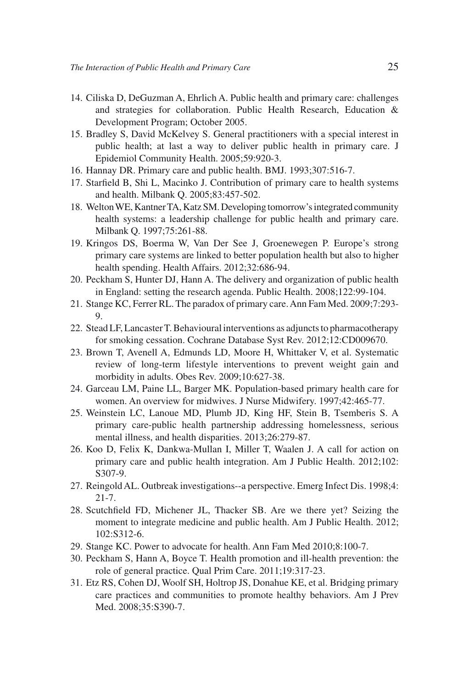- 14. Ciliska D, DeGuzman A, Ehrlich A. Public health and primary care: challenges and strategies for collaboration. Public Health Research, Education & Development Program; October 2005.
- 15. Bradley S, David McKelvey S. General practitioners with a special interest in public health; at last a way to deliver public health in primary care. J Epidemiol Community Health. 2005;59:920-3.
- 16. Hannay DR. Primary care and public health. BMJ. 1993;307:516-7.
- 17. Starfield B, Shi L, Macinko J. Contribution of primary care to health systems and health. Milbank Q. 2005;83:457-502.
- 18. Welton WE, Kantner TA, Katz SM. Developing tomorrow's integrated community health systems: a leadership challenge for public health and primary care. Milbank Q. 1997;75:261-88.
- 19. Kringos DS, Boerma W, Van Der See J, Groenewegen P. Europe's strong primary care systems are linked to better population health but also to higher health spending. Health Affairs. 2012;32:686-94.
- 20. Peckham S, Hunter DJ, Hann A. The delivery and organization of public health in England: setting the research agenda. Public Health. 2008;122:99-104.
- 21. Stange KC, Ferrer RL. The paradox of primary care. Ann Fam Med. 2009;7:293- 9.
- 22. Stead LF, Lancaster T. Behavioural interventions as adjuncts to pharmacotherapy for smoking cessation. Cochrane Database Syst Rev. 2012;12:CD009670.
- 23. Brown T, Avenell A, Edmunds LD, Moore H, Whittaker V, et al. Systematic review of long-term lifestyle interventions to prevent weight gain and morbidity in adults. Obes Rev. 2009;10:627-38.
- 24. Garceau LM, Paine LL, Barger MK. Population-based primary health care for women. An overview for midwives. J Nurse Midwifery. 1997;42:465-77.
- 25. Weinstein LC, Lanoue MD, Plumb JD, King HF, Stein B, Tsemberis S. A primary care-public health partnership addressing homelessness, serious mental illness, and health disparities. 2013;26:279-87.
- 26. Koo D, Felix K, Dankwa-Mullan I, Miller T, Waalen J. A call for action on primary care and public health integration. Am J Public Health. 2012;102: S307-9.
- 27. Reingold AL. Outbreak investigations--a perspective. Emerg Infect Dis. 1998;4: 21-7.
- 28. Scutchfield FD, Michener JL, Thacker SB. Are we there yet? Seizing the moment to integrate medicine and public health. Am J Public Health. 2012; 102:S312-6.
- 29. Stange KC. Power to advocate for health. Ann Fam Med 2010;8:100-7.
- 30. Peckham S, Hann A, Boyce T. Health promotion and ill-health prevention: the role of general practice. Qual Prim Care. 2011;19:317-23.
- 31. Etz RS, Cohen DJ, Woolf SH, Holtrop JS, Donahue KE, et al. Bridging primary care practices and communities to promote healthy behaviors. Am J Prev Med. 2008;35:S390-7.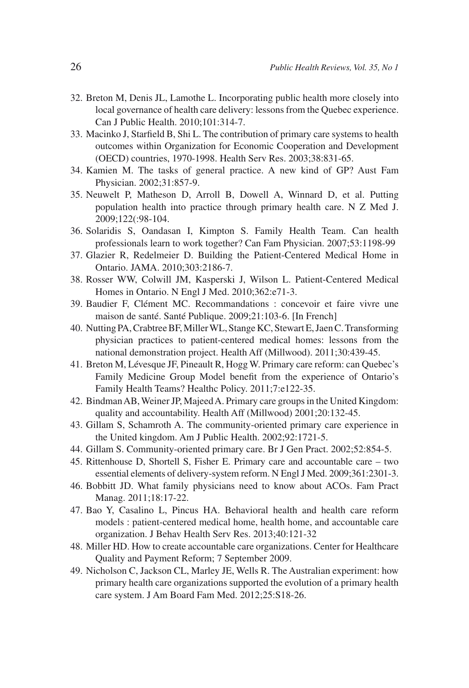- 32. Breton M, Denis JL, Lamothe L. Incorporating public health more closely into local governance of health care delivery: lessons from the Quebec experience. Can J Public Health. 2010;101:314-7.
- 33. Macinko J, Starfield B, Shi L. The contribution of primary care systems to health outcomes within Organization for Economic Cooperation and Development (OECD) countries, 1970-1998. Health Serv Res. 2003;38:831-65.
- 34. Kamien M. The tasks of general practice. A new kind of GP? Aust Fam Physician. 2002;31:857-9.
- 35. Neuwelt P, Matheson D, Arroll B, Dowell A, Winnard D, et al. Putting population health into practice through primary health care. N Z Med J. 2009;122(:98-104.
- 36. Solaridis S, Oandasan I, Kimpton S. Family Health Team. Can health professionals learn to work together? Can Fam Physician. 2007;53:1198-99
- 37. Glazier R, Redelmeier D. Building the Patient-Centered Medical Home in Ontario. JAMA. 2010;303:2186-7.
- 38. Rosser WW, Colwill JM, Kasperski J, Wilson L. Patient-Centered Medical Homes in Ontario. N Engl J Med. 2010;362:e71-3.
- 39. Baudier F, Clément MC. Recommandations : concevoir et faire vivre une maison de santé. Santé Publique. 2009;21:103-6. [In French]
- 40. Nutting PA, Crabtree BF, Miller WL, Stange KC, Stewart E, Jaen C. Transforming physician practices to patient-centered medical homes: lessons from the national demonstration project. Health Aff (Millwood). 2011;30:439-45.
- 41. Breton M, Lévesque JF, Pineault R, Hogg W. Primary care reform: can Quebec's Family Medicine Group Model benefit from the experience of Ontario's Family Health Teams? Healthc Policy. 2011;7:e122-35.
- 42. Bindman AB, Weiner JP, Majeed A. Primary care groups in the United Kingdom: quality and accountability. Health Aff (Millwood) 2001;20:132-45.
- 43. Gillam S, Schamroth A. The community-oriented primary care experience in the United kingdom. Am J Public Health. 2002;92:1721-5.
- 44. Gillam S. Community-oriented primary care. Br J Gen Pract. 2002;52:854-5.
- 45. Rittenhouse D, Shortell S, Fisher E. Primary care and accountable care two essential elements of delivery-system reform. N Engl J Med. 2009;361:2301-3.
- 46. Bobbitt JD. What family physicians need to know about ACOs. Fam Pract Manag. 2011;18:17-22.
- 47. Bao Y, Casalino L, Pincus HA. Behavioral health and health care reform models : patient-centered medical home, health home, and accountable care organization. J Behav Health Serv Res. 2013;40:121-32
- 48. Miller HD. How to create accountable care organizations. Center for Healthcare Quality and Payment Reform; 7 September 2009.
- 49. Nicholson C, Jackson CL, Marley JE, Wells R. The Australian experiment: how primary health care organizations supported the evolution of a primary health care system. J Am Board Fam Med. 2012;25:S18-26.